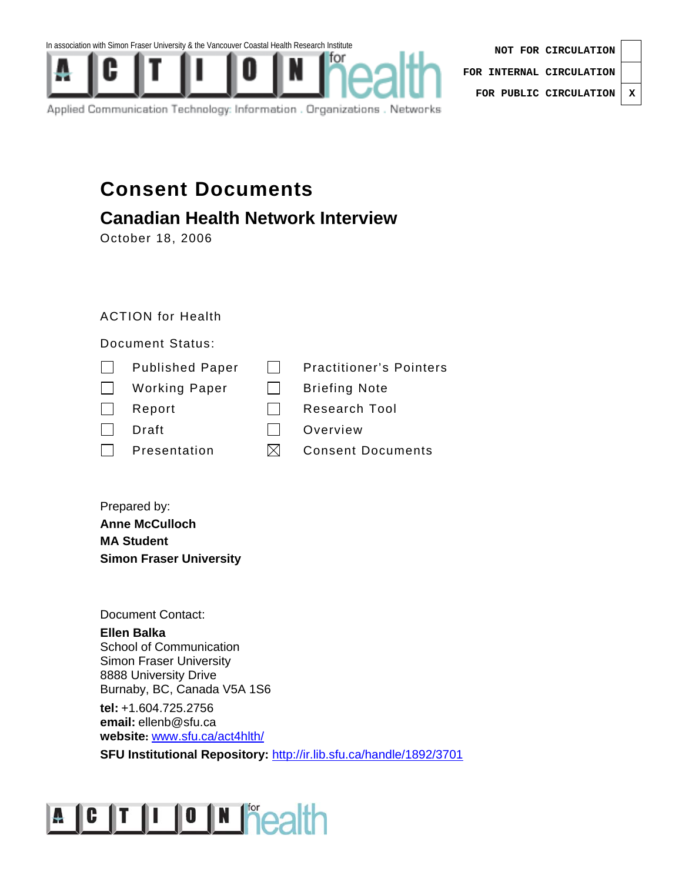



Applied Communication Technology: Information . Organizations . Networks

| NOT FOR CIRCULATION              |   |
|----------------------------------|---|
| FOR INTERNAL CIRCULATION $\vert$ |   |
| FOR PUBLIC CIRCULATION           | X |

# **Consent Documents**

# **Canadian Health Network Interview**

October 18, 2006

# ACTION for Health

Document Status:

| <b>Published Paper</b> |  | <b>Practitioner's Pointers</b> |
|------------------------|--|--------------------------------|
|------------------------|--|--------------------------------|

| <b>Briefing Note</b> |
|----------------------|
|                      |

- Report Research Tool
- Draft Draft **Draft** Overview
- $\Box$  Presentation  $\boxtimes$  Consent Documents
- 

Prepared by: **Anne McCulloch MA Student Simon Fraser University** 

Document Contact:

**Ellen Balka**  School of Communication Simon Fraser University 8888 University Drive Burnaby, BC, Canada V5A 1S6

**tel:** +1.604.725.2756 **email:** ellenb@sfu.ca **website:** www.sfu.ca/act4hlth/

**SFU Institutional Repository: http://ir.lib.sfu.ca/handle/1892/3701** 

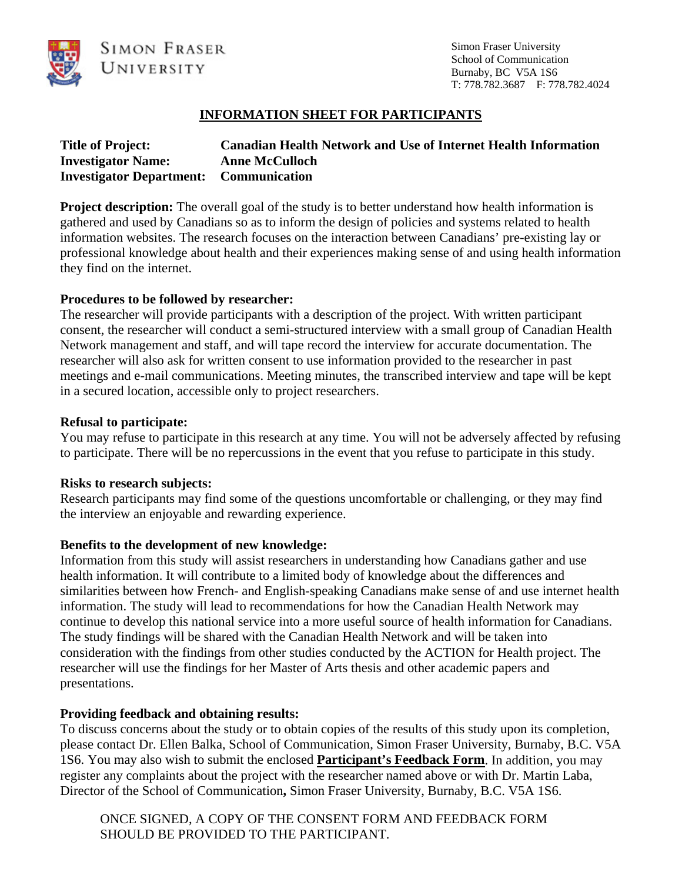

Simon Fraser University School of Communication Burnaby, BC V5A 1S6 T: 778.782.3687 F: 778.782.4024

## **INFORMATION SHEET FOR PARTICIPANTS**

| <b>Title of Project:</b>                      | <b>Canadian Health Network and Use of Internet Health Information</b> |
|-----------------------------------------------|-----------------------------------------------------------------------|
| <b>Investigator Name:</b>                     | <b>Anne McCulloch</b>                                                 |
| <b>Investigator Department:</b> Communication |                                                                       |

**Project description:** The overall goal of the study is to better understand how health information is gathered and used by Canadians so as to inform the design of policies and systems related to health information websites. The research focuses on the interaction between Canadians' pre-existing lay or professional knowledge about health and their experiences making sense of and using health information they find on the internet.

#### **Procedures to be followed by researcher:**

The researcher will provide participants with a description of the project. With written participant consent, the researcher will conduct a semi-structured interview with a small group of Canadian Health Network management and staff, and will tape record the interview for accurate documentation. The researcher will also ask for written consent to use information provided to the researcher in past meetings and e-mail communications. Meeting minutes, the transcribed interview and tape will be kept in a secured location, accessible only to project researchers.

#### **Refusal to participate:**

You may refuse to participate in this research at any time. You will not be adversely affected by refusing to participate. There will be no repercussions in the event that you refuse to participate in this study.

#### **Risks to research subjects:**

Research participants may find some of the questions uncomfortable or challenging, or they may find the interview an enjoyable and rewarding experience.

#### **Benefits to the development of new knowledge:**

Information from this study will assist researchers in understanding how Canadians gather and use health information. It will contribute to a limited body of knowledge about the differences and similarities between how French- and English-speaking Canadians make sense of and use internet health information. The study will lead to recommendations for how the Canadian Health Network may continue to develop this national service into a more useful source of health information for Canadians. The study findings will be shared with the Canadian Health Network and will be taken into consideration with the findings from other studies conducted by the ACTION for Health project. The researcher will use the findings for her Master of Arts thesis and other academic papers and presentations.

#### **Providing feedback and obtaining results:**

To discuss concerns about the study or to obtain copies of the results of this study upon its completion, please contact Dr. Ellen Balka, School of Communication, Simon Fraser University, Burnaby, B.C. V5A 1S6. You may also wish to submit the enclosed **Participant's Feedback Form**. In addition, you may register any complaints about the project with the researcher named above or with Dr. Martin Laba, Director of the School of Communication**,** Simon Fraser University, Burnaby, B.C. V5A 1S6.

ONCE SIGNED, A COPY OF THE CONSENT FORM AND FEEDBACK FORM SHOULD BE PROVIDED TO THE PARTICIPANT.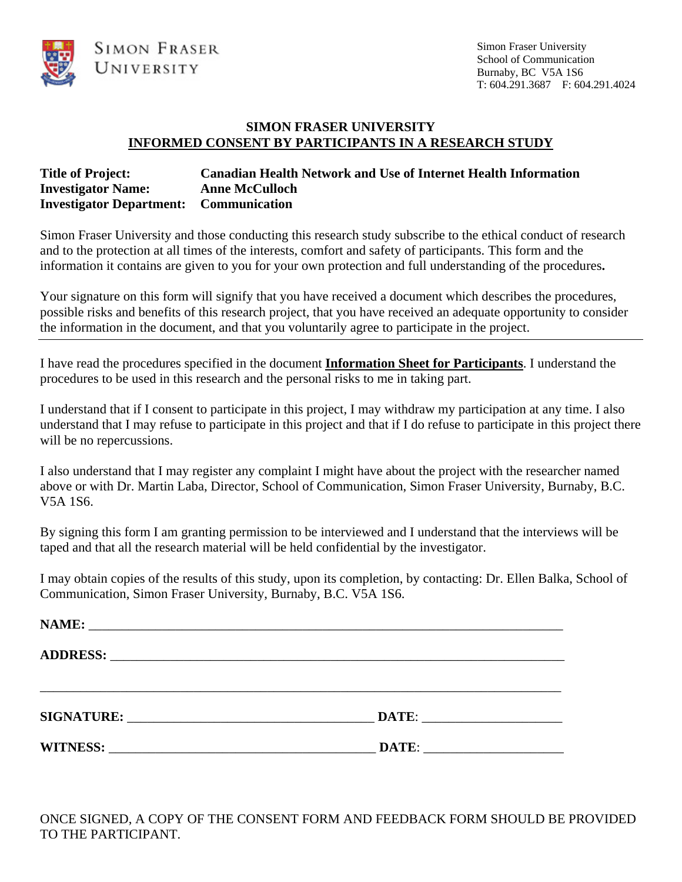

#### **SIMON FRASER UNIVERSITY INFORMED CONSENT BY PARTICIPANTS IN A RESEARCH STUDY**

## **Title of Project: Canadian Health Network and Use of Internet Health Information Investigator Name: Anne McCulloch Investigator Department: Communication**

Simon Fraser University and those conducting this research study subscribe to the ethical conduct of research and to the protection at all times of the interests, comfort and safety of participants. This form and the information it contains are given to you for your own protection and full understanding of the procedures**.** 

Your signature on this form will signify that you have received a document which describes the procedures, possible risks and benefits of this research project, that you have received an adequate opportunity to consider the information in the document, and that you voluntarily agree to participate in the project.

I have read the procedures specified in the document **Information Sheet for Participants**. I understand the procedures to be used in this research and the personal risks to me in taking part.

I understand that if I consent to participate in this project, I may withdraw my participation at any time. I also understand that I may refuse to participate in this project and that if I do refuse to participate in this project there will be no repercussions.

I also understand that I may register any complaint I might have about the project with the researcher named above or with Dr. Martin Laba, Director, School of Communication, Simon Fraser University, Burnaby, B.C. V5A 1S6.

By signing this form I am granting permission to be interviewed and I understand that the interviews will be taped and that all the research material will be held confidential by the investigator.

I may obtain copies of the results of this study, upon its completion, by contacting: Dr. Ellen Balka, School of Communication, Simon Fraser University, Burnaby, B.C. V5A 1S6.

|                                                                                                                                                                                                                                | DATE: |  |
|--------------------------------------------------------------------------------------------------------------------------------------------------------------------------------------------------------------------------------|-------|--|
| WITNESS: New York Contract the Contract of the Contract of the Contract of the Contract of the Contract of the Contract of the Contract of the Contract of the Contract of the Contract of the Contract of the Contract of the | DATE: |  |

ONCE SIGNED, A COPY OF THE CONSENT FORM AND FEEDBACK FORM SHOULD BE PROVIDED TO THE PARTICIPANT.